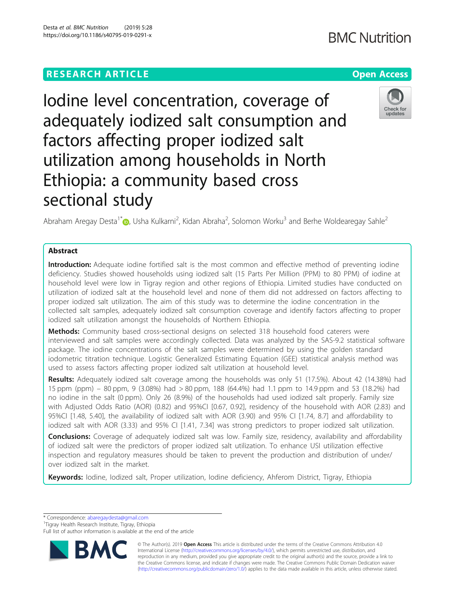# **RESEARCH ARTICLE Example 2014 12:30 The Contract of Contract ACCESS**

# Iodine level concentration, coverage of adequately iodized salt consumption and factors affecting proper iodized salt utilization among households in North Ethiopia: a community based cross sectional study

Abraham Aregay Desta<sup>1[\\*](http://orcid.org/0000-0002-1505-7451)</sup> , Usha Kulkarni<sup>2</sup>, Kidan Abraha<sup>2</sup>, Solomon Worku<sup>3</sup> and Berhe Woldearegay Sahle<sup>2</sup>

# Abstract

Introduction: Adequate iodine fortified salt is the most common and effective method of preventing iodine deficiency. Studies showed households using iodized salt (15 Parts Per Million (PPM) to 80 PPM) of iodine at household level were low in Tigray region and other regions of Ethiopia. Limited studies have conducted on utilization of iodized salt at the household level and none of them did not addressed on factors affecting to proper iodized salt utilization. The aim of this study was to determine the iodine concentration in the collected salt samples, adequately iodized salt consumption coverage and identify factors affecting to proper iodized salt utilization amongst the households of Northern Ethiopia.

**Methods:** Community based cross-sectional designs on selected 318 household food caterers were interviewed and salt samples were accordingly collected. Data was analyzed by the SAS-9.2 statistical software package. The iodine concentrations of the salt samples were determined by using the golden standard iodometric titration technique. Logistic Generalized Estimating Equation (GEE) statistical analysis method was used to assess factors affecting proper iodized salt utilization at household level.

Results: Adequately iodized salt coverage among the households was only 51 (17.5%). About 42 (14.38%) had 15 ppm (ppm) – 80 ppm, 9 (3.08%) had > 80 ppm, 188 (64.4%) had 1.1 ppm to 14.9 ppm and 53 (18.2%) had no iodine in the salt (0 ppm). Only 26 (8.9%) of the households had used iodized salt properly. Family size with Adjusted Odds Ratio (AOR) (0.82) and 95%CI [0.67, 0.92], residency of the household with AOR (2.83) and 95%CI [1.48, 5.40], the availability of iodized salt with AOR (3.90) and 95% CI [1.74, 8.7] and affordability to iodized salt with AOR (3.33) and 95% CI [1.41, 7.34] was strong predictors to proper iodized salt utilization.

**Conclusions:** Coverage of adequately iodized salt was low. Family size, residency, availability and affordability of iodized salt were the predictors of proper iodized salt utilization. To enhance USI utilization effective inspection and regulatory measures should be taken to prevent the production and distribution of under/ over iodized salt in the market.

Keywords: Iodine, Iodized salt, Proper utilization, Iodine deficiency, Ahferom District, Tigray, Ethiopia

\* Correspondence: [abaregaydesta@gmail.com](mailto:abaregaydesta@gmail.com) <sup>1</sup>

Full list of author information is available at the end of the article

© The Author(s). 2019 **Open Access** This article is distributed under the terms of the Creative Commons Attribution 4.0 International License [\(http://creativecommons.org/licenses/by/4.0/](http://creativecommons.org/licenses/by/4.0/)), which permits unrestricted use, distribution, and reproduction in any medium, provided you give appropriate credit to the original author(s) and the source, provide a link to the Creative Commons license, and indicate if changes were made. The Creative Commons Public Domain Dedication waiver [\(http://creativecommons.org/publicdomain/zero/1.0/](http://creativecommons.org/publicdomain/zero/1.0/)) applies to the data made available in this article, unless otherwise stated.







Tigray Health Research Institute, Tigray, Ethiopia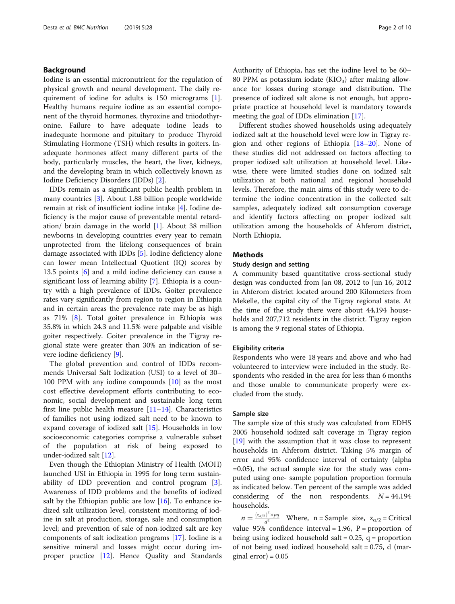# Background

Iodine is an essential micronutrient for the regulation of physical growth and neural development. The daily requirement of iodine for adults is 150 micrograms [\[1](#page-9-0)]. Healthy humans require iodine as an essential component of the thyroid hormones, thyroxine and triiodothyronine. Failure to have adequate iodine leads to inadequate hormone and pituitary to produce Thyroid Stimulating Hormone (TSH) which results in goiters. Inadequate hormones affect many different parts of the body, particularly muscles, the heart, the liver, kidneys, and the developing brain in which collectively known as Iodine Deficiency Disorders (IDDs) [\[2](#page-9-0)].

IDDs remain as a significant public health problem in many countries [[3](#page-9-0)]. About 1.88 billion people worldwide remain at risk of insufficient iodine intake [\[4](#page-9-0)]. Iodine deficiency is the major cause of preventable mental retardation/ brain damage in the world [\[1](#page-9-0)]. About 38 million newborns in developing countries every year to remain unprotected from the lifelong consequences of brain damage associated with IDDs [\[5](#page-9-0)]. Iodine deficiency alone can lower mean Intellectual Quotient (IQ) scores by 13.5 points [\[6](#page-9-0)] and a mild iodine deficiency can cause a significant loss of learning ability [[7\]](#page-9-0). Ethiopia is a country with a high prevalence of IDDs. Goiter prevalence rates vary significantly from region to region in Ethiopia and in certain areas the prevalence rate may be as high as 71% [\[8](#page-9-0)]. Total goiter prevalence in Ethiopia was 35.8% in which 24.3 and 11.5% were palpable and visible goiter respectively. Goiter prevalence in the Tigray regional state were greater than 30% an indication of severe iodine deficiency [[9](#page-9-0)].

The global prevention and control of IDDs recommends Universal Salt Iodization (USI) to a level of 30– 100 PPM with any iodine compounds [\[10\]](#page-9-0) as the most cost effective development efforts contributing to economic, social development and sustainable long term first line public health measure  $[11-14]$  $[11-14]$  $[11-14]$ . Characteristics of families not using iodized salt need to be known to expand coverage of iodized salt [[15\]](#page-9-0). Households in low socioeconomic categories comprise a vulnerable subset of the population at risk of being exposed to under-iodized salt [\[12](#page-9-0)].

Even though the Ethiopian Ministry of Health (MOH) launched USI in Ethiopia in 1995 for long term sustainability of IDD prevention and control program [\[3](#page-9-0)]. Awareness of IDD problems and the benefits of iodized salt by the Ethiopian public are low  $[16]$  $[16]$ . To enhance iodized salt utilization level, consistent monitoring of iodine in salt at production, storage, sale and consumption level; and prevention of sale of non-iodized salt are key components of salt iodization programs [\[17](#page-9-0)]. Iodine is a sensitive mineral and losses might occur during improper practice [\[12\]](#page-9-0). Hence Quality and Standards Authority of Ethiopia, has set the iodine level to be 60– 80 PPM as potassium iodate  $(KIO<sub>3</sub>)$  after making allowance for losses during storage and distribution. The presence of iodized salt alone is not enough, but appropriate practice at household level is mandatory towards meeting the goal of IDDs elimination [[17](#page-9-0)].

Different studies showed households using adequately iodized salt at the household level were low in Tigray region and other regions of Ethiopia  $[18–20]$  $[18–20]$  $[18–20]$  $[18–20]$ . None of these studies did not addressed on factors affecting to proper iodized salt utilization at household level. Likewise, there were limited studies done on iodized salt utilization at both national and regional household levels. Therefore, the main aims of this study were to determine the iodine concentration in the collected salt samples, adequately iodized salt consumption coverage and identify factors affecting on proper iodized salt utilization among the households of Ahferom district, North Ethiopia.

# Methods

# Study design and setting

A community based quantitative cross-sectional study design was conducted from Jan 08, 2012 to Jun 16, 2012 in Ahferom district located around 200 Kilometers from Mekelle, the capital city of the Tigray regional state. At the time of the study there were about 44,194 households and 207,712 residents in the district. Tigray region is among the 9 regional states of Ethiopia.

## Eligibility criteria

Respondents who were 18 years and above and who had volunteered to interview were included in the study. Respondents who resided in the area for less than 6 months and those unable to communicate properly were excluded from the study.

#### Sample size

The sample size of this study was calculated from EDHS 2005 household iodized salt coverage in Tigray region [[19\]](#page-9-0) with the assumption that it was close to represent households in Ahferom district. Taking 5% margin of error and 95% confidence interval of certainty (alpha  $=0.05$ ), the actual sample size for the study was computed using one- sample population proportion formula as indicated below. Ten percent of the sample was added considering of the non respondents.  $N = 44,194$ households.

 $n = \frac{(z_{\alpha/2})^2 \times pq}{d^2}$  Where, n = Sample size,  $z_{\alpha/2}$  = Critical value 95% confidence interval = 1.96,  $P =$  proportion of being using iodized household salt =  $0.25$ , q = proportion of not being used iodized household salt  $= 0.75$ , d (marginal error $) = 0.05$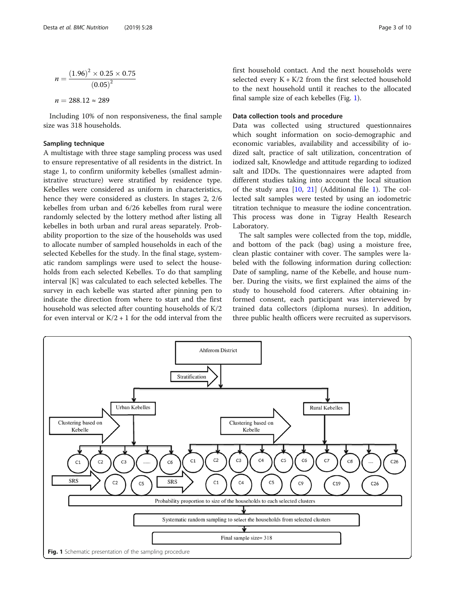$$
n = \frac{(1.96)^2 \times 0.25 \times 0.75}{(0.05)^2}
$$

 $n = 288.12 \approx 289$ 

Including 10% of non responsiveness, the final sample size was 318 households.

# Sampling technique

A multistage with three stage sampling process was used to ensure representative of all residents in the district. In stage 1, to confirm uniformity kebelles (smallest administrative structure) were stratified by residence type. Kebelles were considered as uniform in characteristics, hence they were considered as clusters. In stages 2, 2/6 kebelles from urban and 6/26 kebelles from rural were randomly selected by the lottery method after listing all kebelles in both urban and rural areas separately. Probability proportion to the size of the households was used to allocate number of sampled households in each of the selected Kebelles for the study. In the final stage, systematic random samplings were used to select the households from each selected Kebelles. To do that sampling interval [K] was calculated to each selected kebelles. The survey in each kebelle was started after pinning pen to indicate the direction from where to start and the first household was selected after counting households of K/2 for even interval or  $K/2 + 1$  for the odd interval from the first household contact. And the next households were selected every  $K + K/2$  from the first selected household to the next household until it reaches to the allocated final sample size of each kebelles (Fig. 1).

# Data collection tools and procedure

Data was collected using structured questionnaires which sought information on socio-demographic and economic variables, availability and accessibility of iodized salt, practice of salt utilization, concentration of iodized salt, Knowledge and attitude regarding to iodized salt and IDDs. The questionnaires were adapted from different studies taking into account the local situation of the study area  $[10, 21]$  $[10, 21]$  $[10, 21]$  $[10, 21]$  (Additional file [1](#page-8-0)). The collected salt samples were tested by using an iodometric titration technique to measure the iodine concentration. This process was done in Tigray Health Research Laboratory.

The salt samples were collected from the top, middle, and bottom of the pack (bag) using a moisture free, clean plastic container with cover. The samples were labeled with the following information during collection: Date of sampling, name of the Kebelle, and house number. During the visits, we first explained the aims of the study to household food caterers. After obtaining informed consent, each participant was interviewed by trained data collectors (diploma nurses). In addition, three public health officers were recruited as supervisors.

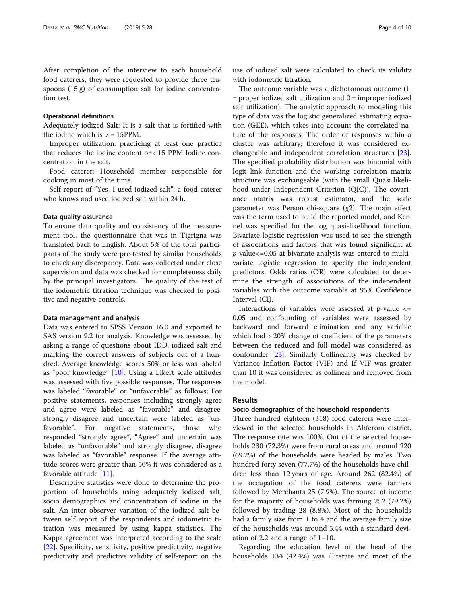After completion of the interview to each household food caterers, they were requested to provide three teaspoons (15 g) of consumption salt for iodine concentration test.

#### Operational definitions

Adequately iodized Salt: It is a salt that is fortified with the iodine which is  $>$  = 15PPM.

Improper utilization: practicing at least one practice that reduces the iodine content or < 15 PPM Iodine concentration in the salt.

Food caterer: Household member responsible for cooking in most of the time.

Self-report of "Yes, I used iodized salt": a food caterer who knows and used iodized salt within 24 h.

## Data quality assurance

To ensure data quality and consistency of the measurement tool, the questionnaire that was in Tigrigna was translated back to English. About 5% of the total participants of the study were pre-tested by similar households to check any discrepancy. Data was collected under close supervision and data was checked for completeness daily by the principal investigators. The quality of the test of the iodometric titration technique was checked to positive and negative controls.

#### Data management and analysis

Data was entered to SPSS Version 16.0 and exported to SAS version 9.2 for analysis. Knowledge was assessed by asking a range of questions about IDD, iodized salt and marking the correct answers of subjects out of a hundred. Average knowledge scores 50% or less was labeled as "poor knowledge" [\[10](#page-9-0)]. Using a Likert scale attitudes was assessed with five possible responses. The responses was labeled "favorable" or "unfavorable" as follows; For positive statements, responses including strongly agree and agree were labeled as "favorable" and disagree, strongly disagree and uncertain were labeled as "unfavorable". For negative statements, those who responded "strongly agree", "Agree" and uncertain was labeled as "unfavorable" and strongly disagree, disagree was labeled as "favorable" response. If the average attitude scores were greater than 50% it was considered as a favorable attitude [\[11\]](#page-9-0).

Descriptive statistics were done to determine the proportion of households using adequately iodized salt, socio demographics and concentration of iodine in the salt. An inter observer variation of the iodized salt between self report of the respondents and iodometric titration was measured by using kappa statistics. The Kappa agreement was interpreted according to the scale [[22\]](#page-9-0). Specificity, sensitivity, positive predictivity, negative predictivity and predictive validity of self-report on the

The outcome variable was a dichotomous outcome (1  $=$  proper iodized salt utilization and  $0 =$  improper iodized salt utilization). The analytic approach to modeling this type of data was the logistic generalized estimating equation (GEE), which takes into account the correlated nature of the responses. The order of responses within a cluster was arbitrary; therefore it was considered exchangeable and independent correlation structures [\[23](#page-9-0)]. The specified probability distribution was binomial with logit link function and the working correlation matrix structure was exchangeable (with the small Quasi likelihood under Independent Criterion (QIC)). The covariance matrix was robust estimator, and the scale parameter was Person chi-square  $(\chi 2)$ . The main effect was the term used to build the reported model, and Kernel was specified for the log quasi-likelihood function. Bivariate logistic regression was used to see the strength of associations and factors that was found significant at  $p$ -value $\lt$ =0.05 at bivariate analysis was entered to multivariate logistic regression to specify the independent predictors. Odds ratios (OR) were calculated to determine the strength of associations of the independent variables with the outcome variable at 95% Confidence Interval (CI).

Interactions of variables were assessed at p-value <= 0.05 and confounding of variables were assessed by backward and forward elimination and any variable which had > 20% change of coefficient of the parameters between the reduced and full model was considered as confounder [\[23](#page-9-0)]. Similarly Collinearity was checked by Variance Inflation Factor (VIF) and If VIF was greater than 10 it was considered as collinear and removed from the model.

# Results

#### Socio demographics of the household respondents

Three hundred eighteen (318) food caterers were interviewed in the selected households in Ahferom district. The response rate was 100%. Out of the selected households 230 (72.3%) were from rural areas and around 220 (69.2%) of the households were headed by males. Two hundred forty seven (77.7%) of the households have children less than 12 years of age. Around 262 (82.4%) of the occupation of the food caterers were farmers followed by Merchants 25 (7.9%). The source of income for the majority of households was farming 252 (79.2%) followed by trading 28 (8.8%). Most of the households had a family size from 1 to 4 and the average family size of the households was around 5.44 with a standard deviation of 2.2 and a range of  $1-10$ .

Regarding the education level of the head of the households 134 (42.4%) was illiterate and most of the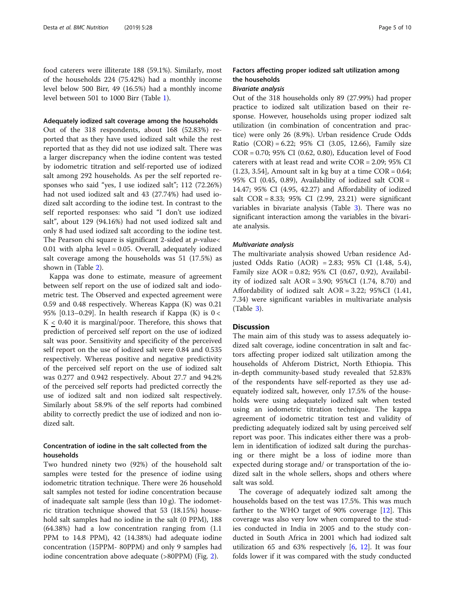food caterers were illiterate 188 (59.1%). Similarly, most of the households 224 (75.42%) had a monthly income level below 500 Birr, 49 (16.5%) had a monthly income level between 501 to 1000 Birr (Table [1](#page-5-0)).

#### Adequately iodized salt coverage among the households

Out of the 318 respondents, about 168 (52.83%) reported that as they have used iodized salt while the rest reported that as they did not use iodized salt. There was a larger discrepancy when the iodine content was tested by iodometric titration and self-reported use of iodized salt among 292 households. As per the self reported responses who said "yes, I use iodized salt"; 112 (72.26%) had not used iodized salt and 43 (27.74%) had used iodized salt according to the iodine test. In contrast to the self reported responses: who said "I don't use iodized salt", about 129 (94.16%) had not used iodized salt and only 8 had used iodized salt according to the iodine test. The Pearson chi square is significant 2-sided at  $p$ -value< 0.01 with alpha level = 0.05. Overall, adequately iodized salt coverage among the households was 51 (17.5%) as shown in (Table [2](#page-5-0)).

Kappa was done to estimate, measure of agreement between self report on the use of iodized salt and iodometric test. The Observed and expected agreement were 0.59 and 0.48 respectively. Whereas Kappa (K) was 0.21 95% [0.13–0.29]. In health research if Kappa (K) is  $0 <$  $K < 0.40$  it is marginal/poor. Therefore, this shows that prediction of perceived self report on the use of iodized salt was poor. Sensitivity and specificity of the perceived self report on the use of iodized salt were 0.84 and 0.535 respectively. Whereas positive and negative predictivity of the perceived self report on the use of iodized salt was 0.277 and 0.942 respectively. About 27.7 and 94.2% of the perceived self reports had predicted correctly the use of iodized salt and non iodized salt respectively. Similarly about 58.9% of the self reports had combined ability to correctly predict the use of iodized and non iodized salt.

# Concentration of iodine in the salt collected from the households

Two hundred ninety two (92%) of the household salt samples were tested for the presence of iodine using iodometric titration technique. There were 26 household salt samples not tested for iodine concentration because of inadequate salt sample (less than 10 g). The iodometric titration technique showed that 53 (18.15%) household salt samples had no iodine in the salt (0 PPM), 188 (64.38%) had a low concentration ranging from (1.1 PPM to 14.8 PPM), 42 (14.38%) had adequate iodine concentration (15PPM- 80PPM) and only 9 samples had iodine concentration above adequate (>80PPM) (Fig. [2\)](#page-6-0).

# Factors affecting proper iodized salt utilization among the households

# Bivariate analysis

Out of the 318 households only 89 (27.99%) had proper practice to iodized salt utilization based on their response. However, households using proper iodized salt utilization (in combination of concentration and practice) were only 26 (8.9%). Urban residence Crude Odds Ratio  $(COR) = 6.22$ ; 95% CI (3.05, 12.66), Family size COR = 0.70; 95% CI (0.62, 0.80), Education level of Food caterers with at least read and write COR = 2.09; 95% CI  $(1.23, 3.54)$ , Amount salt in kg buy at a time COR = 0.64; 95% CI (0.45, 0.89), Availability of iodized salt COR = 14.47; 95% CI (4.95, 42.27) and Affordability of iodized salt COR = 8.33; 95% CI (2.99, 23.21) were significant variables in bivariate analysis (Table [3\)](#page-7-0). There was no significant interaction among the variables in the bivariate analysis.

# Multivariate analysis

The multivariate analysis showed Urban residence Adjusted Odds Ratio (AOR) = 2.83; 95% CI (1.48, 5.4), Family size AOR = 0.82; 95% CI (0.67, 0.92), Availability of iodized salt AOR = 3.90; 95%CI (1.74, 8.70) and Affordability of iodized salt AOR = 3.22; 95%CI (1.41, 7.34) were significant variables in multivariate analysis (Table [3\)](#page-7-0).

# **Discussion**

The main aim of this study was to assess adequately iodized salt coverage, iodine concentration in salt and factors affecting proper iodized salt utilization among the households of Ahferom District, North Ethiopia. This in-depth community-based study revealed that 52.83% of the respondents have self-reported as they use adequately iodized salt, however, only 17.5% of the households were using adequately iodized salt when tested using an iodometric titration technique. The kappa agreement of iodometric titration test and validity of predicting adequately iodized salt by using perceived self report was poor. This indicates either there was a problem in identification of iodized salt during the purchasing or there might be a loss of iodine more than expected during storage and/ or transportation of the iodized salt in the whole sellers, shops and others where salt was sold.

The coverage of adequately iodized salt among the households based on the test was 17.5%. This was much farther to the WHO target of 90% coverage [[12\]](#page-9-0). This coverage was also very low when compared to the studies conducted in India in 2005 and to the study conducted in South Africa in 2001 which had iodized salt utilization 65 and 63% respectively  $[6, 12]$  $[6, 12]$  $[6, 12]$  $[6, 12]$ . It was four folds lower if it was compared with the study conducted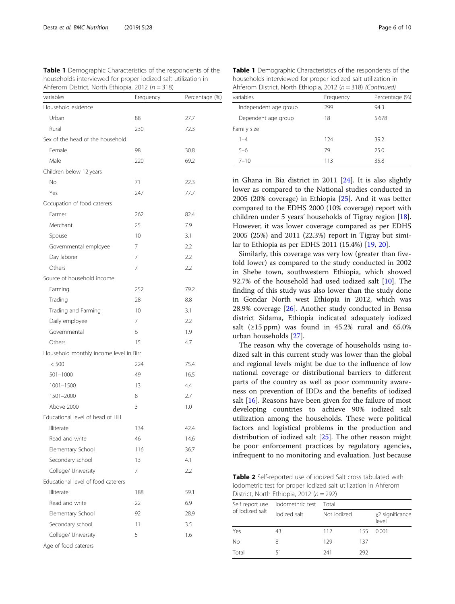<span id="page-5-0"></span>Table 1 Demographic Characteristics of the respondents of the households interviewed for proper iodized salt utilization in Ahferom District, North Ethiopia, 2012 ( $n = 318$ )

| variables                              | Frequency | Percentage (%) |
|----------------------------------------|-----------|----------------|
| Household esidence                     |           |                |
| Urban                                  | 88        | 27.7           |
| Rural                                  | 230       | 72.3           |
| Sex of the head of the household       |           |                |
| Female                                 | 98        | 30.8           |
| Male                                   | 220       | 69.2           |
| Children below 12 years                |           |                |
| No                                     | 71        | 22.3           |
| Yes                                    | 247       | 77.7           |
| Occupation of food caterers            |           |                |
| Farmer                                 | 262       | 82.4           |
| Merchant                               | 25        | 7.9            |
| Spouse                                 | 10        | 3.1            |
| Governmental employee                  | 7         | 2.2            |
| Day laborer                            | 7         | 2.2            |
| Others                                 | 7         | 2.2            |
| Source of household income             |           |                |
| Farming                                | 252       | 79.2           |
| Trading                                | 28        | 8.8            |
| Trading and Farming                    | 10        | 3.1            |
| Daily employee                         | 7         | 2.2            |
| Governmental                           | 6         | 1.9            |
| Others                                 | 15        | 4.7            |
| Household monthly income level in Birr |           |                |
| < 500                                  | 224       | 75.4           |
| 501-1000                               | 49        | 16.5           |
| 1001-1500                              | 13        | 4.4            |
| 1501-2000                              | 8         | 2.7            |
| Above 2000                             | 3         | 1.0            |
| Educational level of head of HH        |           |                |
| Illiterate                             | 134       | 42.4           |
| Read and write                         | 46        | 14.6           |
| Elementary School                      | 116       | 36.7           |
| Secondary school                       | 13        | 4.1            |
| College/ University                    | 7         | 2.2            |
| Educational level of food caterers     |           |                |
| Illiterate                             | 188       | 59.1           |
| Read and write                         | 22        | 6.9            |
| Elementary School                      | 92        | 28.9           |
| Secondary school                       | 11        | 3.5            |
| College/ University                    | 5         | 1.6            |
| Age of food caterers                   |           |                |

Table 1 Demographic Characteristics of the respondents of the households interviewed for proper iodized salt utilization in Ahferom District, North Ethiopia, 2012 ( $n = 318$ ) (Continued)

| variables             | Frequency | Percentage (%) |  |
|-----------------------|-----------|----------------|--|
| Independent age group | 299       | 94.3           |  |
| Dependent age group   | 18        | 5.678          |  |
| Family size           |           |                |  |
| $1 - 4$               | 124       | 39.2           |  |
| $5 - 6$               | 79        | 25.0           |  |
| $7 - 10$              | 113       | 35.8           |  |

in Ghana in Bia district in 2011 [[24\]](#page-9-0). It is also slightly lower as compared to the National studies conducted in 2005 (20% coverage) in Ethiopia [\[25](#page-9-0)]. And it was better compared to the EDHS 2000 (10% coverage) report with children under 5 years' households of Tigray region [\[18](#page-9-0)]. However, it was lower coverage compared as per EDHS 2005 (25%) and 2011 (22.3%) report in Tigray but similar to Ethiopia as per EDHS 2011 (15.4%) [[19,](#page-9-0) [20](#page-9-0)].

Similarly, this coverage was very low (greater than fivefold lower) as compared to the study conducted in 2002 in Shebe town, southwestern Ethiopia, which showed 92.7% of the household had used iodized salt [\[10](#page-9-0)]. The finding of this study was also lower than the study done in Gondar North west Ethiopia in 2012, which was 28.9% coverage [[26](#page-9-0)]. Another study conducted in Bensa district Sidama, Ethiopia indicated adequately iodized salt ( $\geq$ 15 ppm) was found in 45.2% rural and 65.0% urban households [[27](#page-9-0)].

The reason why the coverage of households using iodized salt in this current study was lower than the global and regional levels might be due to the influence of low national coverage or distributional barriers to different parts of the country as well as poor community awareness on prevention of IDDs and the benefits of iodized salt [[16\]](#page-9-0). Reasons have been given for the failure of most developing countries to achieve 90% iodized salt utilization among the households. These were political factors and logistical problems in the production and distribution of iodized salt [[25\]](#page-9-0). The other reason might be poor enforcement practices by regulatory agencies, infrequent to no monitoring and evaluation. Just because

Table 2 Self-reported use of iodized Salt cross tabulated with iodometric test for proper iodized salt utilization in Ahferom District, North Ethiopia, 2012 ( $n = 292$ )

| Self report use<br>of lodized salt | lodomethric test | Total       |     |                          |  |
|------------------------------------|------------------|-------------|-----|--------------------------|--|
|                                    | lodized salt     | Not jodized |     | χ2 significance<br>level |  |
| Yes                                | 43               | 112         | 155 | 0.001                    |  |
| <b>No</b>                          | 8                | 129         | 137 |                          |  |
| Total                              | 51               | 241         | 292 |                          |  |
|                                    |                  |             |     |                          |  |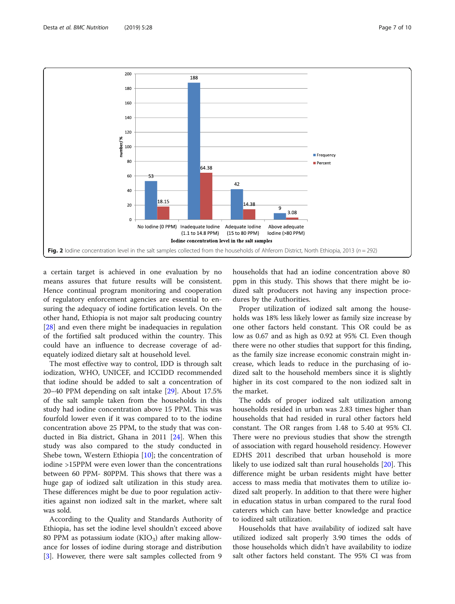<span id="page-6-0"></span>

a certain target is achieved in one evaluation by no means assures that future results will be consistent. Hence continual program monitoring and cooperation of regulatory enforcement agencies are essential to ensuring the adequacy of iodine fortification levels. On the other hand, Ethiopia is not major salt producing country [[28\]](#page-9-0) and even there might be inadequacies in regulation of the fortified salt produced within the country. This could have an influence to decrease coverage of adequately iodized dietary salt at household level.

The most effective way to control, IDD is through salt iodization, WHO, UNICEF, and ICCIDD recommended that iodine should be added to salt a concentration of 20–40 PPM depending on salt intake [[29\]](#page-9-0). About 17.5% of the salt sample taken from the households in this study had iodine concentration above 15 PPM. This was fourfold lower even if it was compared to to the iodine concentration above 25 PPM, to the study that was conducted in Bia district, Ghana in 2011 [\[24](#page-9-0)]. When this study was also compared to the study conducted in Shebe town, Western Ethiopia [\[10](#page-9-0)]; the concentration of iodine >15PPM were even lower than the concentrations between 60 PPM- 80PPM. This shows that there was a huge gap of iodized salt utilization in this study area. These differences might be due to poor regulation activities against non iodized salt in the market, where salt was sold.

According to the Quality and Standards Authority of Ethiopia, has set the iodine level shouldn't exceed above 80 PPM as potassium iodate  $(KIO<sub>3</sub>)$  after making allowance for losses of iodine during storage and distribution [[3\]](#page-9-0). However, there were salt samples collected from 9 households that had an iodine concentration above 80 ppm in this study. This shows that there might be iodized salt producers not having any inspection procedures by the Authorities.

Proper utilization of iodized salt among the households was 18% less likely lower as family size increase by one other factors held constant. This OR could be as low as 0.67 and as high as 0.92 at 95% CI. Even though there were no other studies that support for this finding, as the family size increase economic constrain might increase, which leads to reduce in the purchasing of iodized salt to the household members since it is slightly higher in its cost compared to the non iodized salt in the market.

The odds of proper iodized salt utilization among households resided in urban was 2.83 times higher than households that had resided in rural other factors held constant. The OR ranges from 1.48 to 5.40 at 95% CI. There were no previous studies that show the strength of association with regard household residency. However EDHS 2011 described that urban household is more likely to use iodized salt than rural households [\[20](#page-9-0)]. This difference might be urban residents might have better access to mass media that motivates them to utilize iodized salt properly. In addition to that there were higher in education status in urban compared to the rural food caterers which can have better knowledge and practice to iodized salt utilization.

Households that have availability of iodized salt have utilized iodized salt properly 3.90 times the odds of those households which didn't have availability to iodize salt other factors held constant. The 95% CI was from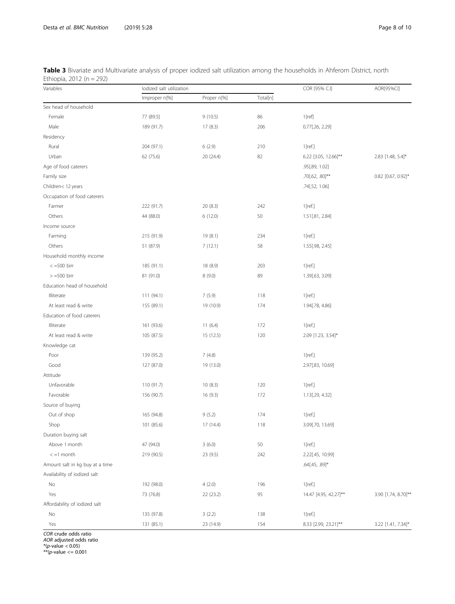<span id="page-7-0"></span>

| Table 3 Bivariate and Multivariate analysis of proper iodized salt utilization among the households in Ahferom District, north |  |  |
|--------------------------------------------------------------------------------------------------------------------------------|--|--|
| Ethiopia, 2012 (n = 292)                                                                                                       |  |  |

| Variables                       | lodized salt utilization |             |          | COR [95% C.I]         | AOR[95%CI]          |
|---------------------------------|--------------------------|-------------|----------|-----------------------|---------------------|
|                                 | Improper n[%]            | Proper n[%] | Total[n] |                       |                     |
| Sex head of household           |                          |             |          |                       |                     |
| Female                          | 77 (89.5)                | 9(10.5)     | 86       | 1[ref]                |                     |
| Male                            | 189 (91.7)               | 17(8.3)     | 206      | 0.77[.26, 2.29]       |                     |
| Residency                       |                          |             |          |                       |                     |
| Rural                           | 204 (97.1)               | 6(2.9)      | 210      | 1[ref.]               |                     |
| Urban                           | 62 (75.6)                | 20 (24.4)   | 82       | 6.22 [3.05, 12.66]**  | 2.83 [1.48, 5.4]*   |
| Age of food caterers            |                          |             |          | .95[.89, 1.02]        |                     |
| Family size                     |                          |             |          | .70[.62, .80]**       | 0.82 [0.67, 0.92]*  |
| Children<12 years               |                          |             |          | .74[.52, 1.06]        |                     |
| Occupation of food caterers     |                          |             |          |                       |                     |
| Farmer                          | 222 (91.7)               | 20 (8.3)    | 242      | $1$ [ref.]            |                     |
| Others                          | 44 (88.0)                | 6(12.0)     | 50       | 1.51[.81, 2.84]       |                     |
| Income source                   |                          |             |          |                       |                     |
| Farming                         | 215 (91.9)               | 19 (8.1)    | 234      | 1[ref.]               |                     |
| Others                          | 51 (87.9)                | 7(12.1)     | 58       | 1.55[.98, 2.45]       |                     |
| Household monthly income        |                          |             |          |                       |                     |
| $< =500$ birr                   | 185 (91.1)               | 18 (8.9)    | 203      | $1$ [ref.]            |                     |
| $> =500$ birr                   | 81 (91.0)                | 8(9.0)      | 89       | 1.39[.63, 3.09]       |                     |
| Education head of household     |                          |             |          |                       |                     |
| Illiterate                      | 111 (94.1)               | 7(5.9)      | 118      | $1$ [ref.]            |                     |
| At least read & write           | 155 (89.1)               | 19 (10.9)   | 174      | 1.94[.78, 4.86]       |                     |
| Education of food caterers      |                          |             |          |                       |                     |
| Illiterate                      | 161 (93.6)               | 11(6.4)     | 172      | $1$ [ref.]            |                     |
| At least read & write           | 105 (87.5)               | 15 (12.5)   | 120      | 2.09 [1.23, 3.54]*    |                     |
| Knowledge cat                   |                          |             |          |                       |                     |
| Poor                            | 139 (95.2)               | 7(4.8)      |          | $1$ [ref.]            |                     |
| Good                            | 127 (87.0)               | 19 (13.0)   |          | 2.97[.83, 10.69]      |                     |
| Attitude                        |                          |             |          |                       |                     |
| Unfavorable                     | 110 (91.7)               | 10(8.3)     | 120      | $1$ [ref.]            |                     |
| Favorable                       | 156 (90.7)               | 16 (9.3)    | 172      | 1.13[.29, 4.32]       |                     |
| Source of buying                |                          |             |          |                       |                     |
| Out of shop                     | 165 (94.8)               | 9(5.2)      | 174      | $1$ [ref.]            |                     |
| Shop                            | 101 (85.6)               | 17 (14.4)   | 118      | 3.09[.70, 13.69]      |                     |
| Duration buying salt            |                          |             |          |                       |                     |
| Above 1 month                   | 47 (94.0)                | 3(6.0)      | 50       | $1$ [ref.]            |                     |
| $<-1$ month                     | 219 (90.5)               | 23 (9.5)    | 242      | 2.22[.45, 10.99]      |                     |
| Amount salt in kg buy at a time |                          |             |          | .64[.45, .89]*        |                     |
| Availability of iodized salt    |                          |             |          |                       |                     |
| No                              | 192 (98.0)               | 4(2.0)      | 196      | $1$ [ref.]            |                     |
| Yes                             | 73 (76.8)                | 22 (23.2)   | 95       | 14.47 [4.95, 42.27]** | 3.90 [1.74, 8.70]** |
| Affordability of iodized salt   |                          |             |          |                       |                     |
| No                              | 135 (97.8)               | 3(2.2)      | 138      | 1[ref.]               |                     |
| Yes                             | 131 (85.1)               | 23 (14.9)   | 154      | 8.33 [2.99, 23.21]**  | 3.22 [1.41, 7.34]*  |

COR crude odds ratio AOR adjusted odds ratio \*(p-value < 0.05) \*\*(p-value <= 0.001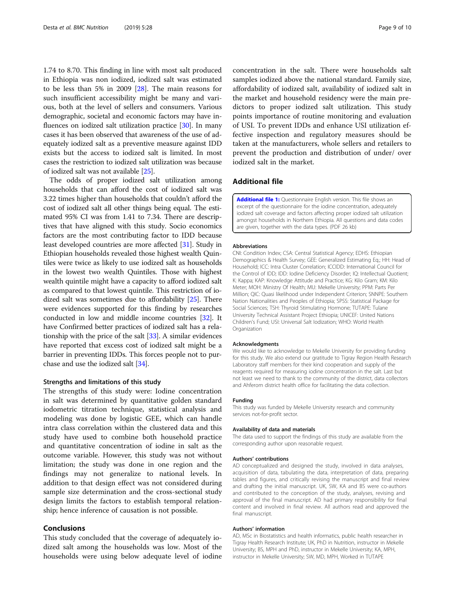<span id="page-8-0"></span>1.74 to 8.70. This finding in line with most salt produced in Ethiopia was non iodized, iodized salt was estimated to be less than 5% in 2009 [\[28](#page-9-0)]. The main reasons for such insufficient accessibility might be many and various, both at the level of sellers and consumers. Various demographic, societal and economic factors may have influences on iodized salt utilization practice [\[30\]](#page-9-0). In many cases it has been observed that awareness of the use of adequately iodized salt as a preventive measure against IDD exists but the access to iodized salt is limited. In most cases the restriction to iodized salt utilization was because of iodized salt was not available [\[25\]](#page-9-0).

The odds of proper iodized salt utilization among households that can afford the cost of iodized salt was 3.22 times higher than households that couldn't afford the cost of iodized salt all other things being equal. The estimated 95% CI was from 1.41 to 7.34. There are descriptives that have aligned with this study. Socio economics factors are the most contributing factor to IDD because least developed countries are more affected [[31](#page-9-0)]. Study in Ethiopian households revealed those highest wealth Quintiles were twice as likely to use iodized salt as households in the lowest two wealth Quintiles. Those with highest wealth quintile might have a capacity to afford iodized salt as compared to that lowest quintile. This restriction of iodized salt was sometimes due to affordability [\[25\]](#page-9-0). There were evidences supported for this finding by researches conducted in low and middle income countries [[32](#page-9-0)]. It have Confirmed better practices of iodized salt has a relationship with the price of the salt [\[33\]](#page-9-0). A similar evidences have reported that excess cost of iodized salt might be a barrier in preventing IDDs. This forces people not to purchase and use the iodized salt [\[34](#page-9-0)].

#### Strengths and limitations of this study

The strengths of this study were: Iodine concentration in salt was determined by quantitative golden standard iodometric titration technique, statistical analysis and modeling was done by logistic GEE, which can handle intra class correlation within the clustered data and this study have used to combine both household practice and quantitative concentration of iodine in salt as the outcome variable. However, this study was not without limitation; the study was done in one region and the findings may not generalize to national levels. In addition to that design effect was not considered during sample size determination and the cross-sectional study design limits the factors to establish temporal relationship; hence inference of causation is not possible.

# Conclusions

This study concluded that the coverage of adequately iodized salt among the households was low. Most of the households were using below adequate level of iodine concentration in the salt. There were households salt samples iodized above the national standard. Family size, affordability of iodized salt, availability of iodized salt in the market and household residency were the main predictors to proper iodized salt utilization. This study points importance of routine monitoring and evaluation of USI. To prevent IDDs and enhance USI utilization effective inspection and regulatory measures should be taken at the manufacturers, whole sellers and retailers to prevent the production and distribution of under/ over iodized salt in the market.

# Additional file

[Additional file 1:](https://doi.org/10.1186/s40795-019-0291-x) Questionnaire English version. This file shows an excerpt of the questionnaire for the iodine concentration, adequately iodized salt coverage and factors affecting proper iodized salt utilization amongst households in Northern Ethiopia. All questions and data codes are given, together with the data types. (PDF 26 kb)

#### Abbreviations

CNI: Condition Index; CSA: Central Statistical Agency; EDHS: Ethiopian Demographics & Health Survey; GEE: Generalized Estimating Eq.; HH: Head of Household; ICC: Intra Cluster Correlation; ICCIDD: International Council for the Control of IDD; IDD: Iodine Deficiency Disorder; IQ: Intellectual Quotient; K: Kappa; KAP: Knowledge Attitude and Practice; KG: Kilo Gram; KM: Kilo Meter; MOH: Ministry Of Health; MU: Mekelle University; PPM: Parts Per Million; QIC: Quasi likelihood under Independent Criterion; SNNPE: Southern Nation Nationalities and Peoples of Ethiopia; SPSS: Statistical Package for Social Sciences; TSH: Thyroid Stimulating Hormone; TUTAPE: Tulane University Technical Assistant Project Ethiopia; UNICEF: United Nations Children's Fund; USI: Universal Salt Iodization; WHO: World Health **Organization** 

#### Acknowledgments

We would like to acknowledge to Mekelle University for providing funding for this study. We also extend our gratitude to Tigray Region Health Research Laboratory staff members for their kind cooperation and supply of the reagents required for measuring iodine concentration in the salt. Last but not least we need to thank to the community of the district, data collectors and Ahferom district health office for facilitating the data collection.

#### Funding

This study was funded by Mekelle University research and community services not-for-profit sector.

#### Availability of data and materials

The data used to support the findings of this study are available from the corresponding author upon reasonable request.

#### Authors' contributions

AD conceptualized and designed the study, involved in data analyses, acquisition of data, tabulating the data, interpretation of data, preparing tables and figures, and critically revising the manuscript and final review and drafting the initial manuscript. UK, SW, KA and BS were co-authors and contributed to the conception of the study, analyses, revising and approval of the final manuscript. AD had primary responsibility for final content and involved in final review. All authors read and approved the final manuscript.

#### Authors' information

AD, MSc in Biostatistics and health informatics, public health researcher in Tigray Health Research Institute; UK, PhD in Nutrition, instructor in Mekelle University; BS, MPH and PhD, instructor in Mekelle University; KA, MPH, instructor in Mekelle University; SW, MD, MPH, Worked in TUTAPE